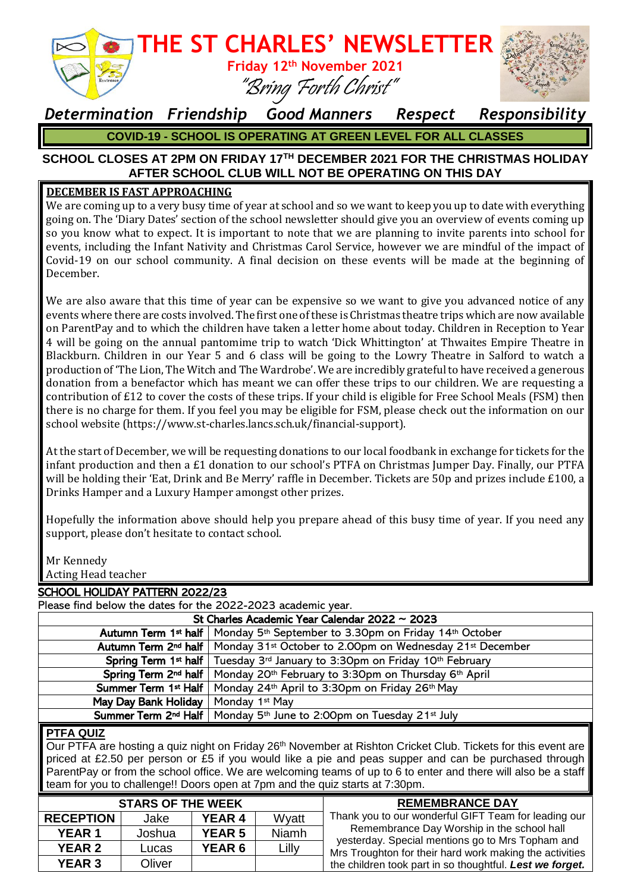

*Determination Friendship Good Manners Respect Responsibility* **COVID-19 - SCHOOL IS OPERATING AT GREEN LEVEL FOR ALL CLASSES**

### **SCHOOL CLOSES AT 2PM ON FRIDAY 17TH DECEMBER 2021 FOR THE CHRISTMAS HOLIDAY AFTER SCHOOL CLUB WILL NOT BE OPERATING ON THIS DAY**

### **DECEMBER IS FAST APPROACHING**

We are coming up to a very busy time of year at school and so we want to keep you up to date with everything going on. The 'Diary Dates' section of the school newsletter should give you an overview of events coming up so you know what to expect. It is important to note that we are planning to invite parents into school for events, including the Infant Nativity and Christmas Carol Service, however we are mindful of the impact of Covid-19 on our school community. A final decision on these events will be made at the beginning of December.

We are also aware that this time of year can be expensive so we want to give you advanced notice of any events where there are costs involved. The first one of these is Christmas theatre trips which are now available on ParentPay and to which the children have taken a letter home about today. Children in Reception to Year 4 will be going on the annual pantomime trip to watch 'Dick Whittington' at Thwaites Empire Theatre in Blackburn. Children in our Year 5 and 6 class will be going to the Lowry Theatre in Salford to watch a production of 'The Lion, The Witch and The Wardrobe'. We are incredibly grateful to have received a generous donation from a benefactor which has meant we can offer these trips to our children. We are requesting a contribution of £12 to cover the costs of these trips. If your child is eligible for Free School Meals (FSM) then there is no charge for them. If you feel you may be eligible for FSM, please check out the information on our school website (https://www.st-charles.lancs.sch.uk/financial-support).

At the start of December, we will be requesting donations to our local foodbank in exchange for tickets for the infant production and then a £1 donation to our school's PTFA on Christmas Jumper Day. Finally, our PTFA will be holding their 'Eat, Drink and Be Merry' raffle in December. Tickets are 50p and prizes include £100, a Drinks Hamper and a Luxury Hamper amongst other prizes.

Hopefully the information above should help you prepare ahead of this busy time of year. If you need any support, please don't hesitate to contact school.

Mr Kennedy Acting Head teacher

### SCHOOL HOLIDAY PATTERN 2022/23

Please find below the dates for the 2022-2023 academic year.

| St Charles Academic Year Calendar 2022 $\sim$ 2023 |                                                                                                                     |  |  |  |
|----------------------------------------------------|---------------------------------------------------------------------------------------------------------------------|--|--|--|
|                                                    | Autumn Term 1 <sup>st</sup> half   Monday 5 <sup>th</sup> September to 3.30pm on Friday 14 <sup>th</sup> October    |  |  |  |
|                                                    | Autumn Term 2 <sup>nd</sup> half   Monday 31 <sup>st</sup> October to 2.00pm on Wednesday 21 <sup>st</sup> December |  |  |  |
|                                                    | Spring Term 1st half   Tuesday 3rd January to 3:30pm on Friday 10th February                                        |  |  |  |
|                                                    | Spring Term 2 <sup>nd</sup> half   Monday 20 <sup>th</sup> February to 3:30pm on Thursday 6 <sup>th</sup> April     |  |  |  |
|                                                    | Summer Term 1 <sup>st</sup> Half   Monday 24 <sup>th</sup> April to 3:30pm on Friday 26 <sup>th</sup> May           |  |  |  |
|                                                    | May Day Bank Holiday   Monday 1st May                                                                               |  |  |  |
|                                                    | Summer Term 2 <sup>nd</sup> Half   Monday 5 <sup>th</sup> June to 2:00pm on Tuesday 21 <sup>st</sup> July           |  |  |  |

### **PTFA QUIZ**

Our PTFA are hosting a quiz night on Friday 26<sup>th</sup> November at Rishton Cricket Club. Tickets for this event are priced at £2.50 per person or £5 if you would like a pie and peas supper and can be purchased through ParentPay or from the school office. We are welcoming teams of up to 6 to enter and there will also be a staff team for you to challenge!! Doors open at 7pm and the quiz starts at 7:30pm.

| <b>STARS OF THE WEEK</b> |        |               |              | <b>REMEMBRANCE DAY</b>                                                                                                                                                                                                                                                        |
|--------------------------|--------|---------------|--------------|-------------------------------------------------------------------------------------------------------------------------------------------------------------------------------------------------------------------------------------------------------------------------------|
| <b>RECEPTION</b>         | Jake   | <b>YEAR 4</b> | Wyatt        | Thank you to our wonderful GIFT Team for leading our<br>Remembrance Day Worship in the school hall<br>yesterday. Special mentions go to Mrs Topham and<br>Mrs Troughton for their hard work making the activities<br>the children took part in so thoughtful. Lest we forget. |
| <b>YEAR1</b>             | Joshua | <b>YEAR 5</b> | <b>Niamh</b> |                                                                                                                                                                                                                                                                               |
| <b>YEAR 2</b>            | Lucas  | <b>YEAR 6</b> | Lilly        |                                                                                                                                                                                                                                                                               |
| <b>YEAR 3</b>            | Oliver |               |              |                                                                                                                                                                                                                                                                               |